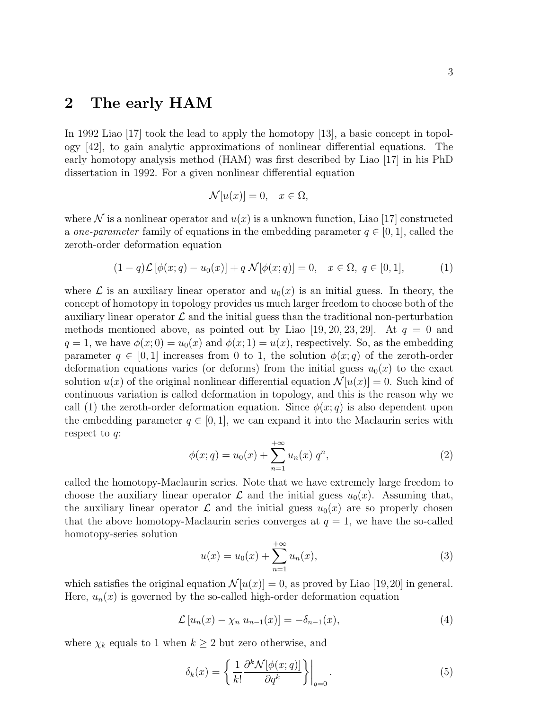## 2 The early HAM

In 1992 Liao [17] took the lead to apply the homotopy [13], a basic concept in topology [42], to gain analytic approximations of nonlinear differential equations. The early homotopy analysis method (HAM) was first described by Liao [17] in his PhD dissertation in 1992. For a given nonlinear differential equation

$$
\mathcal{N}[u(x)] = 0, \quad x \in \Omega,
$$

where  $\mathcal N$  is a nonlinear operator and  $u(x)$  is a unknown function, Liao [17] constructed a one-parameter family of equations in the embedding parameter  $q \in [0, 1]$ , called the zeroth-order deformation equation

$$
(1 - q)\mathcal{L}[\phi(x; q) - u_0(x)] + q \mathcal{N}[\phi(x; q)] = 0, \quad x \in \Omega, \ q \in [0, 1], \tag{1}
$$

where  $\mathcal L$  is an auxiliary linear operator and  $u_0(x)$  is an initial guess. In theory, the concept of homotopy in topology provides us much larger freedom to choose both of the auxiliary linear operator  $\mathcal L$  and the initial guess than the traditional non-perturbation methods mentioned above, as pointed out by Liao [19, 20, 23, 29]. At  $q = 0$  and  $q = 1$ , we have  $\phi(x; 0) = u_0(x)$  and  $\phi(x; 1) = u(x)$ , respectively. So, as the embedding parameter  $q \in [0, 1]$  increases from 0 to 1, the solution  $\phi(x; q)$  of the zeroth-order deformation equations varies (or deforms) from the initial guess  $u_0(x)$  to the exact solution  $u(x)$  of the original nonlinear differential equation  $\mathcal{N}[u(x)] = 0$ . Such kind of continuous variation is called deformation in topology, and this is the reason why we call (1) the zeroth-order deformation equation. Since  $\phi(x; q)$  is also dependent upon the embedding parameter  $q \in [0, 1]$ , we can expand it into the Maclaurin series with respect to  $q$ :

$$
\phi(x;q) = u_0(x) + \sum_{n=1}^{+\infty} u_n(x) q^n,
$$
\n(2)

called the homotopy-Maclaurin series. Note that we have extremely large freedom to choose the auxiliary linear operator  $\mathcal L$  and the initial guess  $u_0(x)$ . Assuming that, the auxiliary linear operator  $\mathcal L$  and the initial guess  $u_0(x)$  are so properly chosen that the above homotopy-Maclaurin series converges at  $q = 1$ , we have the so-called homotopy-series solution

$$
u(x) = u_0(x) + \sum_{n=1}^{+\infty} u_n(x),
$$
\n(3)

which satisfies the original equation  $\mathcal{N}[u(x)] = 0$ , as proved by Liao [19,20] in general. Here,  $u_n(x)$  is governed by the so-called high-order deformation equation

$$
\mathcal{L}\left[u_n(x) - \chi_n u_{n-1}(x)\right] = -\delta_{n-1}(x),\tag{4}
$$

where  $\chi_k$  equals to 1 when  $k \geq 2$  but zero otherwise, and

$$
\delta_k(x) = \left\{ \left. \frac{1}{k!} \frac{\partial^k \mathcal{N}[\phi(x; q)]}{\partial q^k} \right\} \right|_{q=0}.
$$
\n(5)